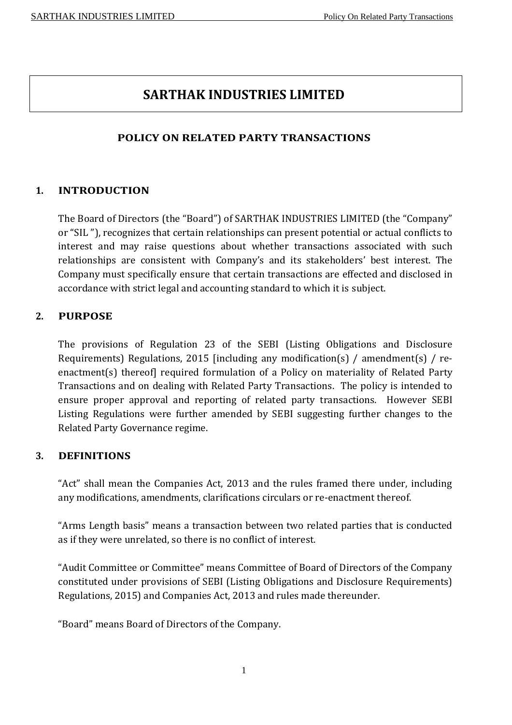# **SARTHAK INDUSTRIES LIMITED**

# **POLICY ON RELATED PARTY TRANSACTIONS**

## **1. INTRODUCTION**

The Board of Directors (the "Board") of SARTHAK INDUSTRIES LIMITED (the "Company" or "SIL "), recognizes that certain relationships can present potential or actual conflicts to interest and may raise questions about whether transactions associated with such relationships are consistent with Company's and its stakeholders' best interest. The Company must specifically ensure that certain transactions are effected and disclosed in accordance with strict legal and accounting standard to which it is subject.

## **2. PURPOSE**

The provisions of Regulation 23 of the SEBI (Listing Obligations and Disclosure Requirements) Regulations, 2015 [including any modification(s) / amendment(s) / reenactment(s) thereof] required formulation of a Policy on materiality of Related Party Transactions and on dealing with Related Party Transactions. The policy is intended to ensure proper approval and reporting of related party transactions. However SEBI Listing Regulations were further amended by SEBI suggesting further changes to the Related Party Governance regime.

## **3. DEFINITIONS**

"Act" shall mean the Companies Act, 2013 and the rules framed there under, including any modifications, amendments, clarifications circulars or re-enactment thereof.

"Arms Length basis" means a transaction between two related parties that is conducted as if they were unrelated, so there is no conflict of interest.

"Audit Committee or Committee" means Committee of Board of Directors of the Company constituted under provisions of SEBI (Listing Obligations and Disclosure Requirements) Regulations, 2015) and Companies Act, 2013 and rules made thereunder.

"Board" means Board of Directors of the Company.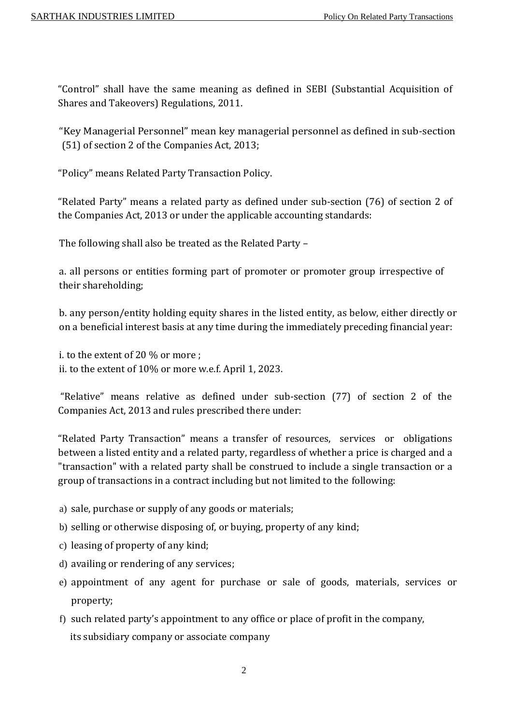"Control" shall have the same meaning as defined in SEBI (Substantial Acquisition of Shares and Takeovers) Regulations, 2011.

"Key Managerial Personnel" mean key managerial personnel as defined in sub-section (51) of section 2 of the Companies Act, 2013;

"Policy" means Related Party Transaction Policy.

"Related Party" means a related party as defined under sub-section (76) of section 2 of the Companies Act, 2013 or under the applicable accounting standards:

The following shall also be treated as the Related Party –

a. all persons or entities forming part of promoter or promoter group irrespective of their shareholding;

b. any person/entity holding equity shares in the listed entity, as below, either directly or on a beneficial interest basis at any time during the immediately preceding financial year:

i. to the extent of 20 % or more ; ii. to the extent of 10% or more w.e.f. April 1, 2023.

"Relative" means relative as defined under sub-section (77) of section 2 of the Companies Act, 2013 and rules prescribed there under:

"Related Party Transaction" means a transfer of resources, services or obligations between a listed entity and a related party, regardless of whether a price is charged and a "transaction" with a related party shall be construed to include a single transaction or a group of transactions in a contract including but not limited to the following:

- a) sale, purchase or supply of any goods or materials;
- b) selling or otherwise disposing of, or buying, property of any kind;
- c) leasing of property of any kind;
- d) availing or rendering of any services;
- e) appointment of any agent for purchase or sale of goods, materials, services or property;
- f) such related party's appointment to any office or place of profit in the company, its subsidiary company or associate company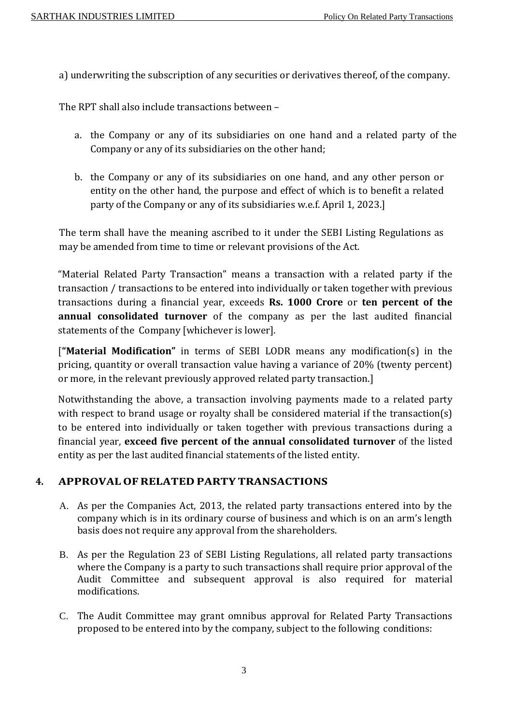a) underwriting the subscription of any securities or derivatives thereof, of the company.

The RPT shall also include transactions between –

- a. the Company or any of its subsidiaries on one hand and a related party of the Company or any of its subsidiaries on the other hand;
- b. the Company or any of its subsidiaries on one hand, and any other person or entity on the other hand, the purpose and effect of which is to benefit a related party of the Company or any of its subsidiaries w.e.f. April 1, 2023.]

The term shall have the meaning ascribed to it under the SEBI Listing Regulations as may be amended from time to time or relevant provisions of the Act.

"Material Related Party Transaction" means a transaction with a related party if the transaction / transactions to be entered into individually or taken together with previous transactions during a financial year, exceeds **Rs. 1000 Crore** or **ten percent of the annual consolidated turnover** of the company as per the last audited financial statements of the Company [whichever is lower].

[**"Material Modification"** in terms of SEBI LODR means any modification(s) in the pricing, quantity or overall transaction value having a variance of 20% (twenty percent) or more, in the relevant previously approved related party transaction.]

Notwithstanding the above, a transaction involving payments made to a related party with respect to brand usage or royalty shall be considered material if the transaction(s) to be entered into individually or taken together with previous transactions during a financial year, **exceed five percent of the annual consolidated turnover** of the listed entity as per the last audited financial statements of the listed entity.

# **4. APPROVAL OF RELATED PARTY TRANSACTIONS**

- A. As per the Companies Act, 2013, the related party transactions entered into by the company which is in its ordinary course of business and which is on an arm's length basis does not require any approval from the shareholders.
- B. As per the Regulation 23 of SEBI Listing Regulations, all related party transactions where the Company is a party to such transactions shall require prior approval of the Audit Committee and subsequent approval is also required for material modifications.
- C. The Audit Committee may grant omnibus approval for Related Party Transactions proposed to be entered into by the company, subject to the following conditions: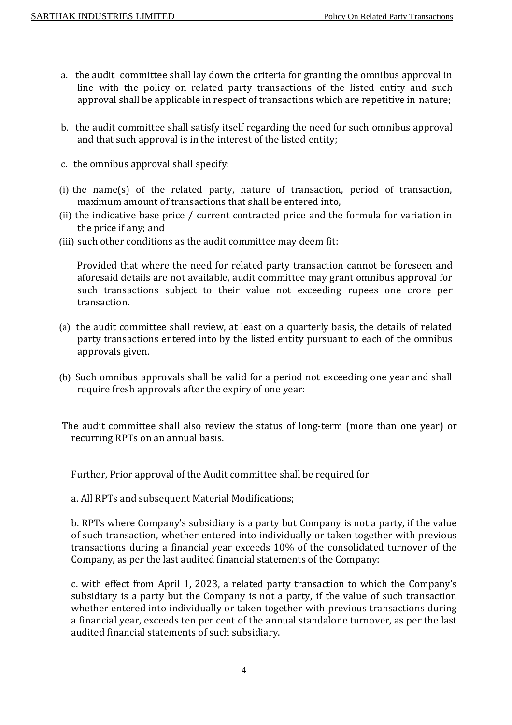- a. the audit committee shall lay down the criteria for granting the omnibus approval in line with the policy on related party transactions of the listed entity and such approval shall be applicable in respect of transactions which are repetitive in nature;
- b. the audit committee shall satisfy itself regarding the need for such omnibus approval and that such approval is in the interest of the listed entity;
- c. the omnibus approval shall specify:
- (i) the name(s) of the related party, nature of transaction, period of transaction, maximum amount of transactions that shall be entered into,
- (ii) the indicative base price / current contracted price and the formula for variation in the price if any; and
- (iii) such other conditions as the audit committee may deem fit:

Provided that where the need for related party transaction cannot be foreseen and aforesaid details are not available, audit committee may grant omnibus approval for such transactions subject to their value not exceeding rupees one crore per transaction.

- (a) the audit committee shall review, at least on a quarterly basis, the details of related party transactions entered into by the listed entity pursuant to each of the omnibus approvals given.
- (b) Such omnibus approvals shall be valid for a period not exceeding one year and shall require fresh approvals after the expiry of one year:
- The audit committee shall also review the status of long-term (more than one year) or recurring RPTs on an annual basis.

Further, Prior approval of the Audit committee shall be required for

a. All RPTs and subsequent Material Modifications;

b. RPTs where Company's subsidiary is a party but Company is not a party, if the value of such transaction, whether entered into individually or taken together with previous transactions during a financial year exceeds 10% of the consolidated turnover of the Company, as per the last audited financial statements of the Company:

c. with effect from April 1, 2023, a related party transaction to which the Company's subsidiary is a party but the Company is not a party, if the value of such transaction whether entered into individually or taken together with previous transactions during a financial year, exceeds ten per cent of the annual standalone turnover, as per the last audited financial statements of such subsidiary.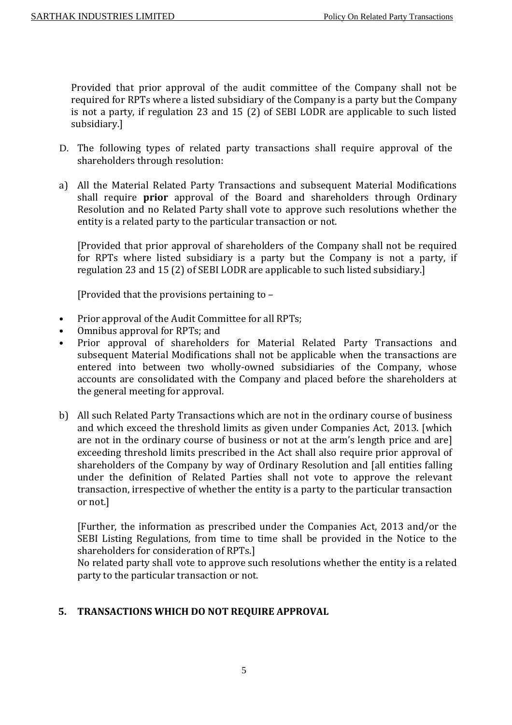Provided that prior approval of the audit committee of the Company shall not be required for RPTs where a listed subsidiary of the Company is a party but the Company is not a party, if regulation 23 and 15 (2) of SEBI LODR are applicable to such listed subsidiary.]

- D. The following types of related party transactions shall require approval of the shareholders through resolution:
- a) All the Material Related Party Transactions and subsequent Material Modifications shall require **prior** approval of the Board and shareholders through Ordinary Resolution and no Related Party shall vote to approve such resolutions whether the entity is a related party to the particular transaction or not.

[Provided that prior approval of shareholders of the Company shall not be required for RPTs where listed subsidiary is a party but the Company is not a party, if regulation 23 and 15 (2) of SEBI LODR are applicable to such listed subsidiary.]

[Provided that the provisions pertaining to –

- Prior approval of the Audit Committee for all RPTs;
- Omnibus approval for RPTs; and
- Prior approval of shareholders for Material Related Party Transactions and subsequent Material Modifications shall not be applicable when the transactions are entered into between two wholly-owned subsidiaries of the Company, whose accounts are consolidated with the Company and placed before the shareholders at the general meeting for approval.
- b) All such Related Party Transactions which are not in the ordinary course of business and which exceed the threshold limits as given under Companies Act, 2013. [which are not in the ordinary course of business or not at the arm's length price and are] exceeding threshold limits prescribed in the Act shall also require prior approval of shareholders of the Company by way of Ordinary Resolution and [all entities falling under the definition of Related Parties shall not vote to approve the relevant transaction, irrespective of whether the entity is a party to the particular transaction or not.]

[Further, the information as prescribed under the Companies Act, 2013 and/or the SEBI Listing Regulations, from time to time shall be provided in the Notice to the shareholders for consideration of RPTs.]

No related party shall vote to approve such resolutions whether the entity is a related party to the particular transaction or not.

#### **5. TRANSACTIONS WHICH DO NOT REQUIRE APPROVAL**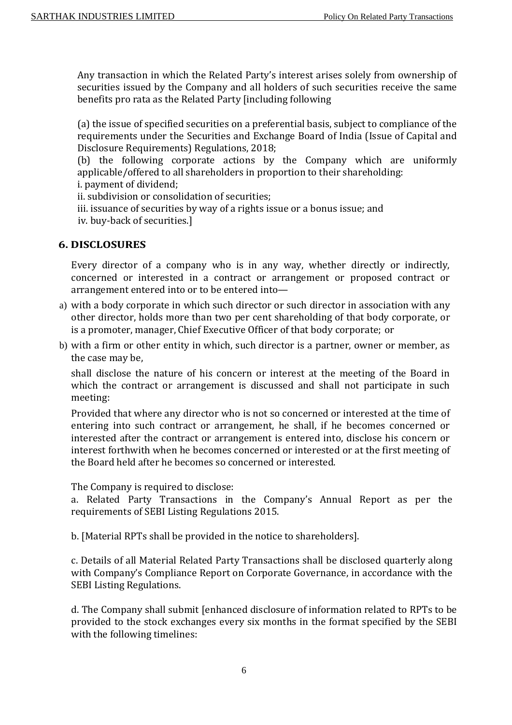Any transaction in which the Related Party's interest arises solely from ownership of securities issued by the Company and all holders of such securities receive the same benefits pro rata as the Related Party [including following

(a) the issue of specified securities on a preferential basis, subject to compliance of the requirements under the Securities and Exchange Board of India (Issue of Capital and Disclosure Requirements) Regulations, 2018;

(b) the following corporate actions by the Company which are uniformly applicable/offered to all shareholders in proportion to their shareholding:

i. payment of dividend;

ii. subdivision or consolidation of securities;

iii. issuance of securities by way of a rights issue or a bonus issue; and iv. buy-back of securities.]

#### **6. DISCLOSURES**

Every director of a company who is in any way, whether directly or indirectly, concerned or interested in a contract or arrangement or proposed contract or arrangement entered into or to be entered into—

- a) with a body corporate in which such director or such director in association with any other director, holds more than two per cent shareholding of that body corporate, or is a promoter, manager, Chief Executive Officer of that body corporate; or
- b) with a firm or other entity in which, such director is a partner, owner or member, as the case may be,

shall disclose the nature of his concern or interest at the meeting of the Board in which the contract or arrangement is discussed and shall not participate in such meeting:

Provided that where any director who is not so concerned or interested at the time of entering into such contract or arrangement, he shall, if he becomes concerned or interested after the contract or arrangement is entered into, disclose his concern or interest forthwith when he becomes concerned or interested or at the first meeting of the Board held after he becomes so concerned or interested.

The Company is required to disclose:

a. Related Party Transactions in the Company's Annual Report as per the requirements of SEBI Listing Regulations 2015.

b. [Material RPTs shall be provided in the notice to shareholders].

c. Details of all Material Related Party Transactions shall be disclosed quarterly along with Company's Compliance Report on Corporate Governance, in accordance with the SEBI Listing Regulations.

d. The Company shall submit [enhanced disclosure of information related to RPTs to be provided to the stock exchanges every six months in the format specified by the SEBI with the following timelines: